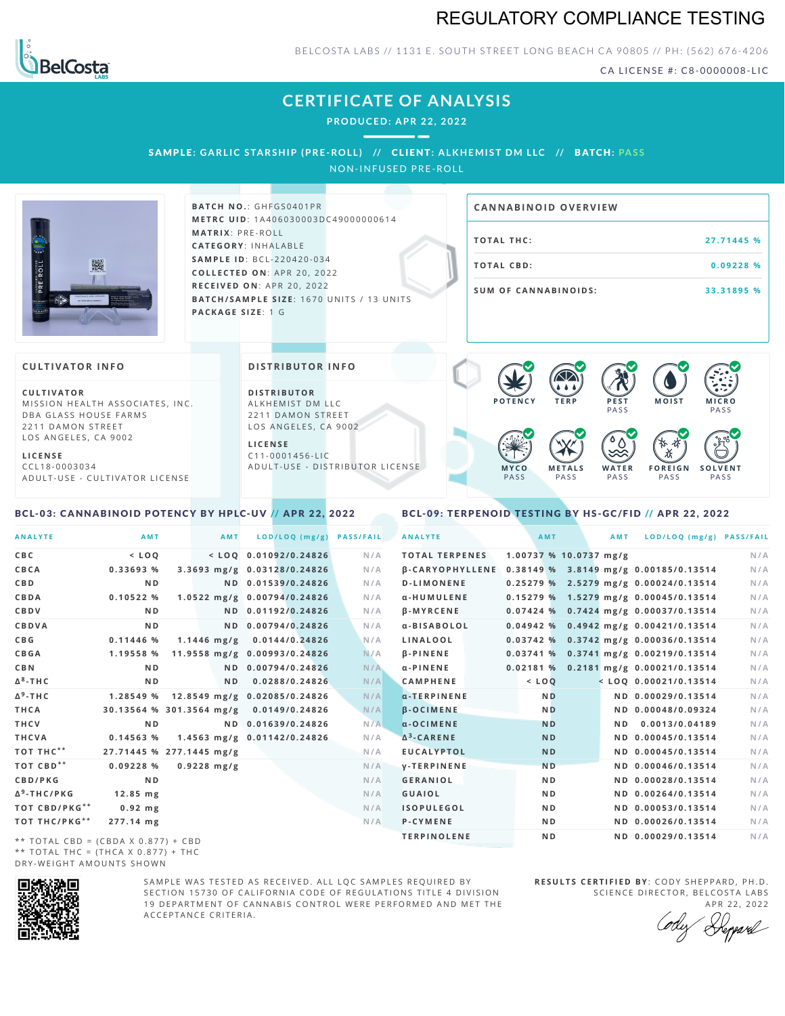# REGULATORY COMPLIANCE TESTING



BELCOSTA LABS // 1131 E. SOUTH STREET LONG BEACH CA 90805 // PH: (562) 676-4206

CA LICENSE #: C8-0000008-LIC

# **CERTIFICATE OF ANALYSIS**

**PRODUCED: A PR 22, 2022**

SAMPLE: GARLIC STARSHIP (PRE-ROLL) // CLIENT: ALKHEMIST DM LLC // BATCH: PASS

NON-INFUSED PRE-ROLL



**BATCH NO.: GHFGS0401PR M E T R C U ID** :1 A 4 0 6 0 3 0 0 0 3 D C 4 9 0 0 0 0 0 0 6 1 4 **M AT R I X** :P R E - R O L L **CAT E G O R Y** : I N H A L A B L E **SA M P L E I D** :B C L - 2 2 0 4 2 0 - 0 3 4 **C O L L E C T E D O N** :A P R 2 0 ,2 0 2 2 **R E C E I V E D O N** : A P R 2 0 , 2 0 2 2 **BATCH/SAMPLE SIZE:** 1670 UNITS / 13 UNITS **PAC KA G E S I Z E** : 1 G

| <b>CANNABINOID OVERVIEW</b> |            |
|-----------------------------|------------|
| <b>TOTAL THC:</b>           | 27.71445 % |
| TOTAL CBD:                  | 0.09228%   |
| <b>SUM OF CANNABINOIDS:</b> | 33.31895 % |

 $\bullet$  60 60 60 60

### **CULTIVATOR I N FO**

**C U L T I VAT O R** MISSION HEALTH ASSOCIATES, INC. DBA GLASS HOUSE FARMS 2211 DAMON STREET LOS ANGELES, CA 9002

**L I C E N S E** C C L 1 8 - 0 0 0 3 0 3 4 A D U L T - U S E - C U L T I V A T O R L I C E N S E

## <span id="page-0-0"></span>BCL-03: CANNABINOID POTENCY BY HPLC-UV // APR 22, 2022

## **DI STRIBUTOR I N FO**

**D I S T R IB U T O R** ALKHEMIST DM LLC 2211 DAMON STREET LOS ANGELES, CA 9002

**L I C E N S E** C 1 1 - 0 0 0 1 4 5 6 - L I C A D U L T - U S E - D I STRI B U T O R LICENSE



<span id="page-0-1"></span>BCL-09: TERPENOID TESTING BY HS-GC/FID // APR 22, 2022

| <b>ANALYTE</b>                      | AMT                      | AMT           | LOD/LOQ (mg/g)               | <b>PASS/FAIL</b> | <b>ANALYTE</b>                                        | AMT                    | <b>AMT</b> | LOD/LOQ (mg/g) PASS/FAIL                |     |
|-------------------------------------|--------------------------|---------------|------------------------------|------------------|-------------------------------------------------------|------------------------|------------|-----------------------------------------|-----|
| C B C                               | $<$ LOO                  |               | $<$ LOO 0.01092/0.24826      | N/A              | <b>TOTAL TERPENES</b>                                 | 1.00737 % 10.0737 mg/g |            |                                         | N/A |
| CBCA                                | 0.33693 %                |               | 3.3693 mg/g 0.03128/0.24826  | N/A              | B-CARYOPHYLLENE 0.38149 % 3.8149 mg/g 0.00185/0.13514 |                        |            |                                         | N/A |
| C B D                               | N <sub>D</sub>           |               | ND 0.01539/0.24826           | N/A              | <b>D-LIMONENE</b>                                     |                        |            | 0.25279 % 2.5279 mg/g 0.00024/0.13514   | N/A |
| CBDA                                | 0.10522%                 |               | 1.0522 mg/g 0.00794/0.24826  | N/A              | α-HUMULENE                                            |                        |            | 0.15279 % 1.5279 mg/g 0.00045/0.13514   | N/A |
| <b>CBDV</b>                         | N <sub>D</sub>           |               | ND 0.01192/0.24826           | N/A              | <b>B-MYRCENE</b>                                      |                        |            | 0.07424 % 0.7424 mg/g 0.00037/0.13514   | N/A |
| <b>CBDVA</b>                        | N <sub>D</sub>           |               | ND 0.00794/0.24826           | N/A              | α-BISABOLOL                                           |                        |            | $0.04942$ % 0.4942 mg/g 0.00421/0.13514 | N/A |
| C B G                               | $0.11446$ %              | $1.1446$ mg/g | 0.0144/0.24826               | N/A              | LINALOOL                                              |                        |            | 0.03742 % 0.3742 mg/g 0.00036/0.13514   | N/A |
| <b>CBGA</b>                         | 1.19558 %                |               | 11.9558 mg/g 0.00993/0.24826 | N/A              | <b>B-PINENE</b>                                       |                        |            | 0.03741 % 0.3741 mg/g 0.00219/0.13514   | N/A |
| C B N                               | N <sub>D</sub>           |               | ND 0.00794/0.24826           | N/A              | $\alpha$ -PINENE                                      |                        |            | 0.02181 % 0.2181 mg/g 0.00021/0.13514   | N/A |
| Δ <sup>8</sup> -ΤΗ C                | N <sub>D</sub>           | ND.           | 0.0288/0.24826               | N/A              | <b>CAMPHENE</b>                                       | $<$ LOQ                |            | $<$ LOQ 0.00021/0.13514                 | N/A |
| Δ <sup>9</sup> -ΤΗ C                | 1.28549 %                |               | 12.8549 mg/g 0.02085/0.24826 | N/A              | $\alpha$ -TERPINENE                                   | <b>ND</b>              |            | ND 0.00029/0.13514                      | N/A |
| THCA                                | 30.13564 % 301.3564 mg/g |               | 0.0149/0.24826               | N/A              | <b>B-OCIMENE</b>                                      | <b>ND</b>              |            | ND 0.00048/0.09324                      | N/A |
| THCV                                | N <sub>D</sub>           |               | ND 0.01639/0.24826           | N/A              | $\alpha$ -OCIMENE                                     | <b>ND</b>              | N D        | 0.0013/0.04189                          | N/A |
| THCVA                               | 0.14563 %                |               | 1.4563 mg/g 0.01142/0.24826  | N/A              | $\Delta^3$ -CARENE                                    | <b>ND</b>              |            | ND 0.00045/0.13514                      | N/A |
| тот тнс**                           | 27.71445 % 277.1445 mg/g |               |                              | N/A              | <b>EUCALYPTOL</b>                                     | <b>ND</b>              |            | ND 0.00045/0.13514                      | N/A |
| ТОТ СВD**                           | 0.09228%                 | $0.9228$ mg/g |                              | N/A              | <b>V-TERPINENE</b>                                    | <b>ND</b>              |            | ND 0.00046/0.13514                      | N/A |
| <b>CBD/PKG</b>                      | N <sub>D</sub>           |               |                              | N/A              | <b>GERANIOL</b>                                       | N <sub>D</sub>         |            | ND 0.00028/0.13514                      | N/A |
| Δ <sup>9</sup> -THC/PKG             | $12.85$ mg               |               |                              | N/A              | <b>GUAIOL</b>                                         | N <sub>D</sub>         |            | ND 0.00264/0.13514                      | N/A |
| ТОТ СВD/РКG**                       | $0.92$ mg                |               |                              | N/A              | <b>ISOPULEGOL</b>                                     | N <sub>D</sub>         |            | ND 0.00053/0.13514                      | N/A |
| ТОТ ТНС/РКG**                       | 277.14 mg                |               |                              | N/A              | P-CYMENE                                              | N <sub>D</sub>         |            | ND 0.00026/0.13514                      | N/A |
| ** TOTAL CRD - (CRDA V 0 977) + CRD |                          |               |                              |                  | <b>TERPINOLENE</b>                                    | N <sub>D</sub>         |            | ND 0.00029/0.13514                      | N/A |

\*\* TOTAL CBD =  $(CBDA X 0.877) + CBD$ \*\* TOTAL THC =  $(THCA X 0.877) + THC$ DRY-WEIGHT AMOUNTS SHOWN



SAMPLE WAS TESTED AS RECEIVED. ALL LOC SAMPLES REQUIRED BY SECTION 15730 OF CALIFORNIA CODE OF REGULATIONS TITLE 4 DIVISION 19 DEPARTMENT OF CANNABIS CONTROL WERE PERFORMED AND MET THE A C C E P T A N C E C R I T E R I A .

**R E S U L T S C E R T I F I E D BY** : C O D Y S H E P P A R D ,P H .D . SCIENCE DIRECTOR, BELCOSTA LABS

A P R 22, 2022 Repard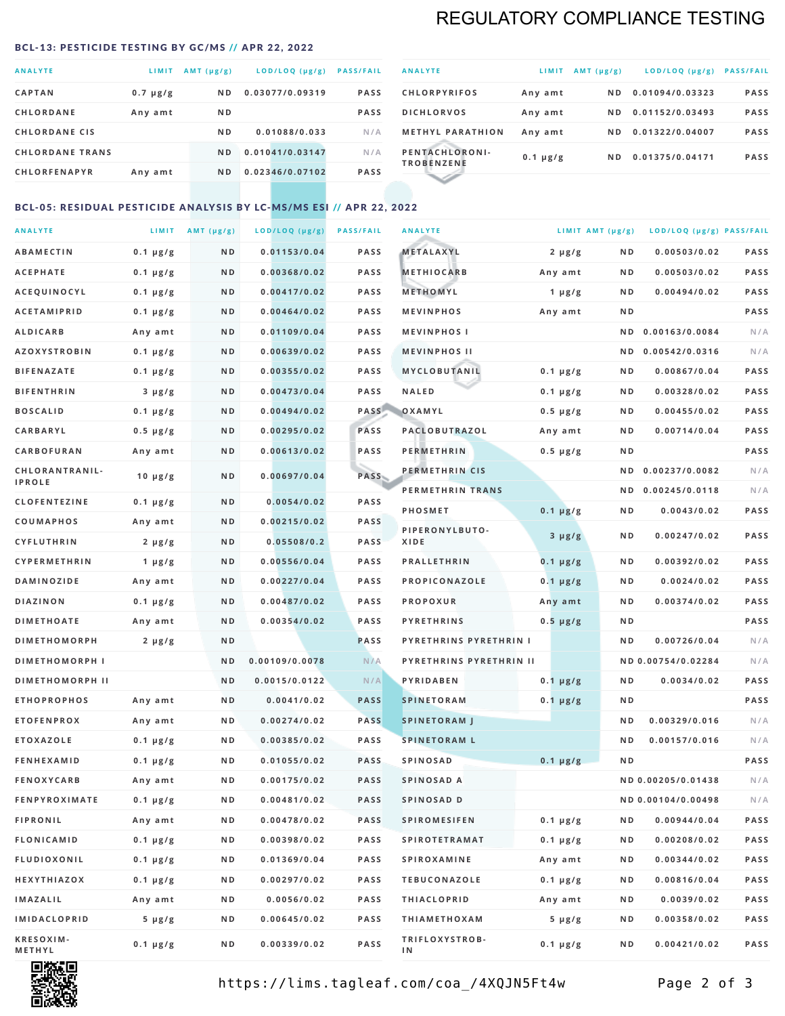# REGULATORY COMPLIANCE TESTING

#### <span id="page-1-0"></span>BCL-13: PESTICIDE TESTING BY GC/MS // APR 22, 2022

| <b>ANALYTE</b>         | <b>LIMIT</b>  | $AMT(\mu g/g)$ | LOD/LOQ (µg/g)  | <b>PASS/FAIL</b> |
|------------------------|---------------|----------------|-----------------|------------------|
| <b>CAPTAN</b>          | $0.7 \mu g/g$ | N <sub>D</sub> | 0.03077/0.09319 | <b>PASS</b>      |
| <b>CHLORDANE</b>       | Any amt       | N <sub>D</sub> |                 | <b>PASS</b>      |
| <b>CHLORDANE CIS</b>   |               | ND.            | 0.01088/0.033   | N/A              |
| <b>CHLORDANE TRANS</b> |               | ND.            | 0.01041/0.03147 | N/A              |
| <b>CHLORFENAPYR</b>    | Any amt       | N <sub>D</sub> | 0.02346/0.07102 | <b>PASS</b>      |
|                        |               |                |                 |                  |

| <b>ANALYTE</b>                      | LIMIT         | $AMT (\mu g/g)$ | LOD/LOQ (µg/g)  | <b>PASS/FAIL</b> |
|-------------------------------------|---------------|-----------------|-----------------|------------------|
| <b>CHLORPYRIFOS</b>                 | Any amt       | N D             | 0.01094/0.03323 | <b>PASS</b>      |
| <b>DICHLORVOS</b>                   | Any amt       | ND.             | 0.01152/0.03493 | <b>PASS</b>      |
| <b>METHYL PARATHION</b>             | Any amt       | ND.             | 0.01322/0.04007 | <b>PASS</b>      |
| PENTACHLORONI-<br><b>TROBENZENE</b> | $0.1 \mu g/g$ | ND.             | 0.01375/0.04171 | <b>PASS</b>      |
|                                     |               |                 |                 |                  |

## BCL-05: RESIDUAL PESTICIDE ANALYSIS BY LC-MS/MS ESI // APR 22, 2022

| <b>ANALYTE</b>         |               | LIMIT AMT $(\mu g/g)$ | LOD/LOQ (µg/g) | <b>PASS/FAIL</b> | <b>ANALYTE</b>          | LIMIT AMT $(\mu g/g)$ |     | LOD/LOQ (µg/g) PASS/FAIL |             |
|------------------------|---------------|-----------------------|----------------|------------------|-------------------------|-----------------------|-----|--------------------------|-------------|
| <b>ABAMECTIN</b>       | $0.1 \mu g/g$ | N D                   | 0.01153/0.04   | <b>PASS</b>      | <b>METALAXYL</b>        | $2 \mu g/g$           | N D | 0.00503/0.02             | <b>PASS</b> |
| <b>ACEPHATE</b>        | $0.1 \mu g/g$ | N D                   | 0.00368/0.02   | <b>PASS</b>      | <b>METHIOCARB</b>       | Any amt               | N D | 0.00503/0.02             | PASS        |
| <b>ACEQUINOCYL</b>     | $0.1 \mu g/g$ | N D                   | 0.00417/0.02   | <b>PASS</b>      | METHOMYL                | 1 $\mu$ g/g           | N D | 0.00494/0.02             | <b>PASS</b> |
| <b>ACETAMIPRID</b>     | $0.1 \mu g/g$ | N D                   | 0.00464/0.02   | <b>PASS</b>      | <b>MEVINPHOS</b>        | Any amt               | N D |                          | PASS        |
| <b>ALDICARB</b>        | Any amt       | ND                    | 0.01109/0.04   | <b>PASS</b>      | <b>MEVINPHOSI</b>       |                       |     | ND 0.00163/0.0084        | N/A         |
| <b>AZOXYSTROBIN</b>    | $0.1 \mu g/g$ | N D                   | 0.00639/0.02   | <b>PASS</b>      | <b>MEVINPHOS II</b>     |                       | N D | 0.00542/0.0316           | N/A         |
| <b>BIFENAZATE</b>      | $0.1 \mu g/g$ | N D                   | 0.00355/0.02   | <b>PASS</b>      | MYCLOBUTANIL            | $0.1 \mu g/g$         | N D | 0.00867/0.04             | PASS        |
| <b>BIFENTHRIN</b>      | $3 \mu g/g$   | N D                   | 0.00473/0.04   | <b>PASS</b>      | <b>NALED</b>            | $0.1 \mu g/g$         | N D | 0.00328/0.02             | PASS        |
| <b>BOSCALID</b>        | $0.1 \mu g/g$ | N D                   | 0.00494/0.02   |                  | PASS OXAMYL             | $0.5 \mu g/g$         | N D | 0.00455/0.02             | PASS        |
| CARBARYL               | $0.5 \mu g/g$ | N D                   | 0.00295/0.02   | PASS             | PACLOBUTRAZOL           | Any amt               | ND  | 0.00714/0.04             | <b>PASS</b> |
| CARBOFURAN             | Any amt       | N D                   | 0.00613/0.02   | <b>PASS</b>      | <b>PERMETHRIN</b>       | $0.5 \mu g/g$         | N D |                          | PASS        |
| CHLORANTRANIL-         |               | N D                   | 0.00697/0.04   | PASS             | PERMETHRIN CIS          |                       | N D | 0.00237/0.0082           | N/A         |
| <b>IPROLE</b>          | 10 $\mu$ g/g  |                       |                |                  | PERMETHRIN TRANS        |                       |     | ND 0.00245/0.0118        | N/A         |
| <b>CLOFENTEZINE</b>    | $0.1 \mu g/g$ | N D                   | 0.0054/0.02    | <b>PASS</b>      | <b>PHOSMET</b>          | $0.1 \mu g/g$         | N D | 0.0043/0.02              | PASS        |
| COUMAPHOS              | Any amt       | N D                   | 0.00215/0.02   | <b>PASS</b>      | PIPERONYLBUTO-          |                       | N D | 0.00247/0.02             | PASS        |
| CYFLUTHRIN             | $2 \mu g/g$   | N D                   | 0.05508/0.2    | <b>PASS</b>      | XIDE                    | $3 \mu g/g$           |     |                          |             |
| CYPERMETHRIN           | 1 $\mu$ g/g   | N D                   | 0.00556/0.04   | <b>PASS</b>      | <b>PRALLETHRIN</b>      | $0.1 \mu g/g$         | N D | 0.00392/0.02             | PASS        |
| <b>DAMINOZIDE</b>      | Any amt       | N D                   | 0.00227/0.04   | <b>PASS</b>      | PROPICONAZOLE           | $0.1 \mu g/g$         | N D | 0.0024/0.02              | PASS        |
| <b>DIAZINON</b>        | $0.1 \mu g/g$ | N D                   | 0.00487/0.02   | <b>PASS</b>      | <b>PROPOXUR</b>         | Any amt               | N D | 0.00374/0.02             | PASS        |
| <b>DIMETHOATE</b>      | Any amt       | N D                   | 0.00354/0.02   | <b>PASS</b>      | <b>PYRETHRINS</b>       | $0.5 \mu g/g$         | N D |                          | PASS        |
| <b>DIMETHOMORPH</b>    | $2 \mu g/g$   | N D                   |                | <b>PASS</b>      | PYRETHRINS PYRETHRIN I  |                       | N D | 0.00726/0.04             | N/A         |
| <b>DIMETHOMORPH I</b>  |               | N D                   | 0.00109/0.0078 | N/A              | PYRETHRINS PYRETHRIN II |                       |     | ND 0.00754/0.02284       | N/A         |
| <b>DIMETHOMORPH II</b> |               | N D                   | 0.0015/0.0122  | N/A              | PYRIDABEN               | $0.1 \mu g/g$         | N D | 0.0034/0.02              | PASS        |
| <b>ETHOPROPHOS</b>     | Any amt       | N D                   | 0.0041/0.02    | <b>PASS</b>      | <b>SPINETORAM</b>       | $0.1 \mu g/g$         | N D |                          | PASS        |
| <b>ETOFENPROX</b>      | Any amt       | N D                   | 0.00274/0.02   | <b>PASS</b>      | <b>SPINETORAM J</b>     |                       | N D | 0.00329/0.016            | N/A         |
| <b>ETOXAZOLE</b>       | $0.1 \mu g/g$ | N D                   | 0.00385/0.02   | <b>PASS</b>      | <b>SPINETORAM L</b>     |                       | N D | 0.00157/0.016            | N/A         |
| <b>FENHEXAMID</b>      | $0.1 \mu g/g$ | N D                   | 0.01055/0.02   | <b>PASS</b>      | <b>SPINOSAD</b>         | $0.1 \mu g/g$         | N D |                          | PASS        |
| <b>FENOXYCARB</b>      | Any amt       | N D                   | 0.00175/0.02   | <b>PASS</b>      | SPINOSAD A              |                       |     | ND 0.00205/0.01438       | N/A         |
| <b>FENPYROXIMATE</b>   | $0.1 \mu g/g$ | N D                   | 0.00481/0.02   | <b>PASS</b>      | SPINOSAD D              |                       |     | ND 0.00104/0.00498       | N/A         |
| <b>FIPRONIL</b>        | Any amt       | N D                   | 0.00478/0.02   | PASS             | <b>SPIROMESIFEN</b>     | $0.1 \mu g/g$         | N D | 0.00944/0.04             | PASS        |
| <b>FLONICAMID</b>      | $0.1 \mu g/g$ | N D                   | 0.00398/0.02   | PASS             | <b>SPIROTETRAMAT</b>    | $0.1 \mu g/g$         | N D | 0.00208/0.02             | PASS        |
| <b>FLUDIOXONIL</b>     | $0.1 \mu g/g$ | N D                   | 0.01369/0.04   | PASS             | <b>SPIROXAMINE</b>      | Any amt               | N D | 0.00344/0.02             | PASS        |
| HEXYTHIAZOX            | $0.1 \mu g/g$ | N D                   | 0.00297/0.02   | PASS             | <b>TEBUCONAZOLE</b>     | $0.1 \mu g/g$         | N D | 0.00816/0.04             | PASS        |
| IMAZALIL               | Any amt       | N D                   | 0.0056/0.02    | PASS             | <b>THIACLOPRID</b>      | Any amt               | N D | 0.0039/0.02              | PASS        |
| <b>IMIDACLOPRID</b>    | $5 \mu g/g$   | N D                   | 0.00645/0.02   | PASS             | <b>THIAMETHOXAM</b>     | $5 \mu g/g$           | N D | 0.00358/0.02             | PASS        |
| KRESOXIM-<br>METHYL    | $0.1 \mu g/g$ | N D                   | 0.00339/0.02   | PASS             | TRIFLOXYSTROB-<br>ΙN    | $0.1 \mu g/g$         | N D | 0.00421/0.02             | PASS        |